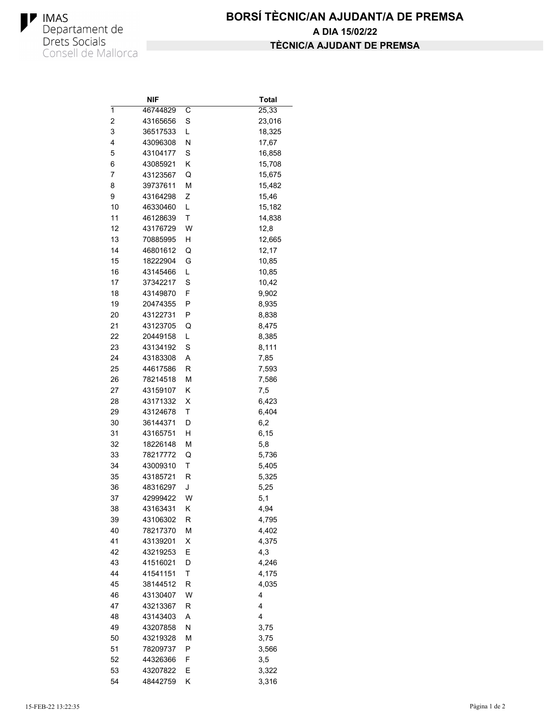

|                         | NIF      |        | <b>Total</b> |
|-------------------------|----------|--------|--------------|
| 1                       | 46744829 | С      | 25,33        |
| $\overline{\mathbf{c}}$ | 43165656 | S      | 23,016       |
| 3                       | 36517533 | L      | 18,325       |
| 4                       | 43096308 | Ν      | 17,67        |
| 5                       | 43104177 | S      | 16,858       |
| 6                       | 43085921 | Κ      | 15,708       |
| 7                       | 43123567 | Q      | 15,675       |
| 8                       | 39737611 | M      | 15,482       |
| 9                       | 43164298 | Ζ      | 15,46        |
| 10                      | 46330460 | L      | 15,182       |
| 11                      | 46128639 | Τ      | 14,838       |
| 12                      | 43176729 | W      | 12,8         |
| 13                      | 70885995 | н      | 12,665       |
| 14                      | 46801612 | Q      | 12,17        |
| 15                      | 18222904 | G      | 10,85        |
| 16                      | 43145466 | L      | 10,85        |
| 17                      | 37342217 | S      | 10,42        |
| 18                      | 43149870 | F      | 9,902        |
| 19                      | 20474355 | Ρ      | 8,935        |
| 20                      | 43122731 | Ρ      | 8,838        |
| 21                      | 43123705 | Q      | 8,475        |
| 22                      | 20449158 | L      | 8,385        |
| 23                      | 43134192 | S      | 8,111        |
| 24                      | 43183308 | Α      |              |
| 25                      | 44617586 | R      | 7,85         |
| 26                      | 78214518 | M      | 7,593        |
| 27                      | 43159107 | Κ      | 7,586        |
| 28                      |          |        | 7,5          |
| 29                      | 43171332 | х<br>Τ | 6,423        |
|                         | 43124678 |        | 6,404        |
| 30<br>31                | 36144371 | D      | 6,2          |
|                         | 43165751 | Η      | 6,15         |
| 32                      | 18226148 | М      | 5,8          |
| 33                      | 78217772 | Q      | 5,736        |
| 34                      | 43009310 | Τ      | 5,405        |
| 35                      | 43185721 | R      | 5,325        |
| 36                      | 48316297 | J      | 5,25         |
| 37                      | 42999422 | W      | 5,1          |
| 38                      | 43163431 | Κ      | 4,94         |
| 39                      | 43106302 | R      | 4,795        |
| 40                      | 78217370 | M      | 4,402        |
| 41                      | 43139201 | Χ      | 4,375        |
| 42                      | 43219253 | Е      | 4,3          |
| 43                      | 41516021 | D      | 4,246        |
| 44                      | 41541151 | Τ      | 4,175        |
| 45                      | 38144512 | R      | 4,035        |
| 46                      | 43130407 | W      | 4            |
| 47                      | 43213367 | R      | 4            |
| 48                      | 43143403 | Α      | 4            |
| 49                      | 43207858 | N      | 3,75         |
| 50                      | 43219328 | М      | 3,75         |
| 51                      | 78209737 | Ρ      | 3,566        |
| 52                      | 44326366 | F      | 3,5          |
| 53                      | 43207822 | E      | 3,322        |
| 54                      | 48442759 | Κ      | 3,316        |